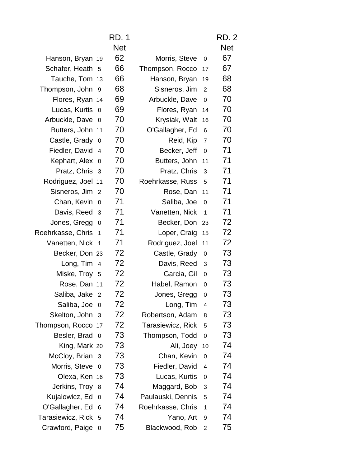|                                              | <b>RD. 1</b> |                   |                         | <b>RD. 2</b> |  |
|----------------------------------------------|--------------|-------------------|-------------------------|--------------|--|
|                                              | <b>Net</b>   |                   |                         | <b>Net</b>   |  |
| Hanson, Bryan 19                             | 62           | Morris, Steve     | $\mathbf 0$             | 67           |  |
| Schafer, Heath 5                             | 66           | Thompson, Rocco   | 17                      | 67           |  |
| Tauche, Tom 13                               | 66           | Hanson, Bryan     | 19                      | 68           |  |
| Thompson, John 9                             | 68           | Sisneros, Jim     | 2                       | 68           |  |
| Flores, Ryan 14                              | 69           | Arbuckle, Dave    | $\mathbf 0$             | 70           |  |
| Lucas, Kurtis 0                              | 69           | Flores, Ryan      | 14                      | 70           |  |
| Arbuckle, Dave 0                             | 70           | Krysiak, Walt     | 16                      | 70           |  |
| Butters, John 11                             | 70           | O'Gallagher, Ed   | $6\phantom{1}$          | 70           |  |
| Castle, Grady 0                              | 70           | Reid, Kip         | $\overline{7}$          | 70           |  |
| Fiedler, David 4                             | 70           | Becker, Jeff      | $\mathbf 0$             | 71           |  |
| Kephart, Alex 0                              | 70           | Butters, John     | 11                      | 71           |  |
| Pratz, Chris 3                               | 70           | Pratz, Chris      | 3                       | 71           |  |
| Rodriguez, Joel 11                           | 70           | Roehrkasse, Russ  | 5                       | 71           |  |
| Sisneros, Jim 2                              | 70           | Rose, Dan         | 11                      | 71           |  |
| Chan, Kevin 0                                | 71           | Saliba, Joe       | $\mathbf 0$             | 71           |  |
| Davis, Reed 3                                | 71           | Vanetten, Nick    | $\mathbf{1}$            | 71           |  |
| Jones, Gregg<br>$\overline{0}$               | 71           | Becker, Don       | 23                      | 72           |  |
| Roehrkasse, Chris<br>$\overline{\mathbf{1}}$ | 71           | Loper, Craig      | 15                      | 72           |  |
| Vanetten, Nick 1                             | 71           | Rodriguez, Joel   | 11                      | 72           |  |
| Becker, Don 23                               | 72           | Castle, Grady     | $\mathbf 0$             | 73           |  |
| Long, Tim 4                                  | 72           | Davis, Reed       | 3                       | 73           |  |
| Miske, Troy 5                                | 72           | Garcia, Gil       | $\mathbf 0$             | 73           |  |
| Rose, Dan 11                                 | 72           | Habel, Ramon      | 0                       | 73           |  |
| Saliba, Jake 2                               | 72           | Jones, Gregg 0    |                         | 73           |  |
| Saliba, Joe 0                                | 72           | Long, Tim         | $\overline{\mathbf{4}}$ | 73           |  |
| Skelton, John 3                              | 72           | Robertson, Adam   | 8                       | 73           |  |
| Thompson, Rocco 17                           | 72           | Tarasiewicz, Rick | 5                       | 73           |  |
| Besler, Brad 0                               | 73           | Thompson, Todd    | 0                       | 73           |  |
| King, Mark 20                                | 73           | Ali, Joey         | 10                      | 74           |  |
| McCloy, Brian 3                              | 73           | Chan, Kevin       | $\mathbf 0$             | 74           |  |
| Morris, Steve 0                              | 73           | Fiedler, David    | 4                       | 74           |  |
| Olexa, Ken 16                                | 73           | Lucas, Kurtis     | $\mathbf 0$             | 74           |  |
| Jerkins, Troy 8                              | 74           | Maggard, Bob      | 3                       | 74           |  |
| Kujalowicz, Ed 0                             | 74           | Paulauski, Dennis | 5                       | 74           |  |
| O'Gallagher, Ed 6                            | 74           | Roehrkasse, Chris | $\mathbf{1}$            | 74           |  |
| Tarasiewicz, Rick 5                          | 74           | Yano, Art         | 9                       | 74           |  |
| Crawford, Paige 0                            | 75           | Blackwood, Rob    | $\overline{2}$          | 75           |  |